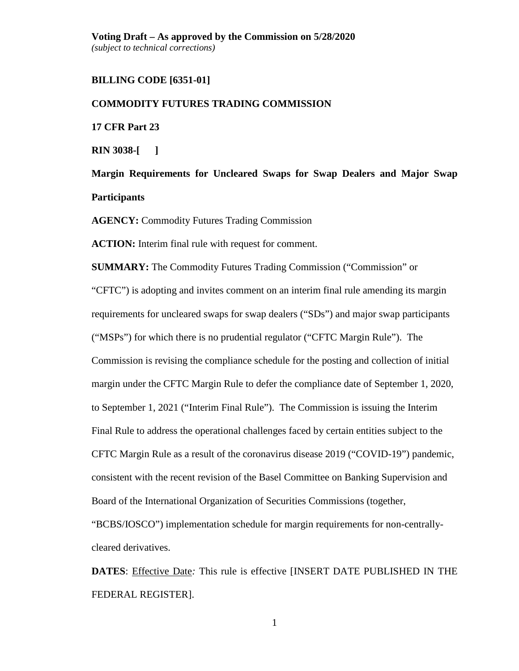# **BILLING CODE [6351-01]**

#### **COMMODITY FUTURES TRADING COMMISSION**

**17 CFR Part 23** 

**RIN 3038-[ ]**

**Margin Requirements for Uncleared Swaps for Swap Dealers and Major Swap Participants**

**AGENCY:** Commodity Futures Trading Commission

**ACTION:** Interim final rule with request for comment.

**SUMMARY:** The Commodity Futures Trading Commission ("Commission" or "CFTC") is adopting and invites comment on an interim final rule amending its margin requirements for uncleared swaps for swap dealers ("SDs") and major swap participants ("MSPs") for which there is no prudential regulator ("CFTC Margin Rule"). The Commission is revising the compliance schedule for the posting and collection of initial margin under the CFTC Margin Rule to defer the compliance date of September 1, 2020, to September 1, 2021 ("Interim Final Rule"). The Commission is issuing the Interim Final Rule to address the operational challenges faced by certain entities subject to the CFTC Margin Rule as a result of the coronavirus disease 2019 ("COVID-19") pandemic, consistent with the recent revision of the Basel Committee on Banking Supervision and Board of the International Organization of Securities Commissions (together, "BCBS/IOSCO") implementation schedule for margin requirements for non-centrallycleared derivatives.

**DATES**: Effective Date*:* This rule is effective [INSERT DATE PUBLISHED IN THE FEDERAL REGISTER].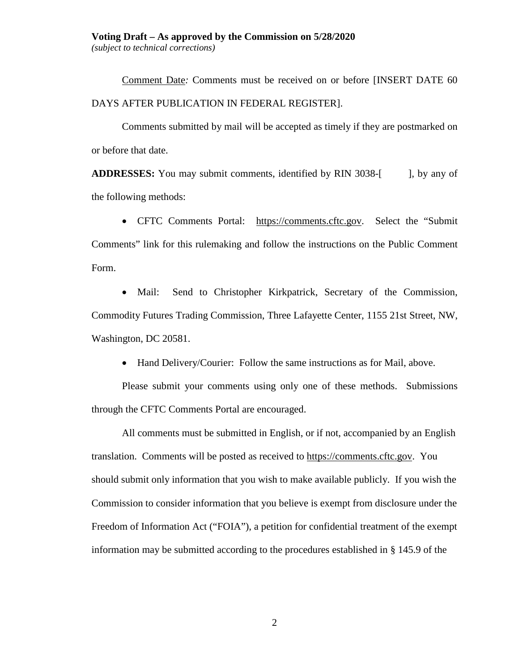#### **Voting Draft – As approved by the Commission on 5/28/2020**

*(subject to technical corrections)*

Comment Date*:* Comments must be received on or before [INSERT DATE 60 DAYS AFTER PUBLICATION IN FEDERAL REGISTER].

Comments submitted by mail will be accepted as timely if they are postmarked on or before that date.

**ADDRESSES:** You may submit comments, identified by RIN 3038-[ ], by any of the following methods:

• CFTC Comments Portal: [https://comments.cftc.gov.](https://comments.cftc.gov/) Select the "Submit Comments" link for this rulemaking and follow the instructions on the Public Comment Form.

• Mail: Send to Christopher Kirkpatrick, Secretary of the Commission, Commodity Futures Trading Commission, Three Lafayette Center, 1155 21st Street, NW, Washington, DC 20581.

• Hand Delivery/Courier: Follow the same instructions as for Mail, above.

Please submit your comments using only one of these methods. Submissions through the CFTC Comments Portal are encouraged.

All comments must be submitted in English, or if not, accompanied by an English translation. Comments will be posted as received to [https://comments.cftc.gov.](https://comments.cftc.gov/) You should submit only information that you wish to make available publicly. If you wish the Commission to consider information that you believe is exempt from disclosure under the Freedom of Information Act ("FOIA"), a petition for confidential treatment of the exempt information may be submitted according to the procedures established in § 145.9 of the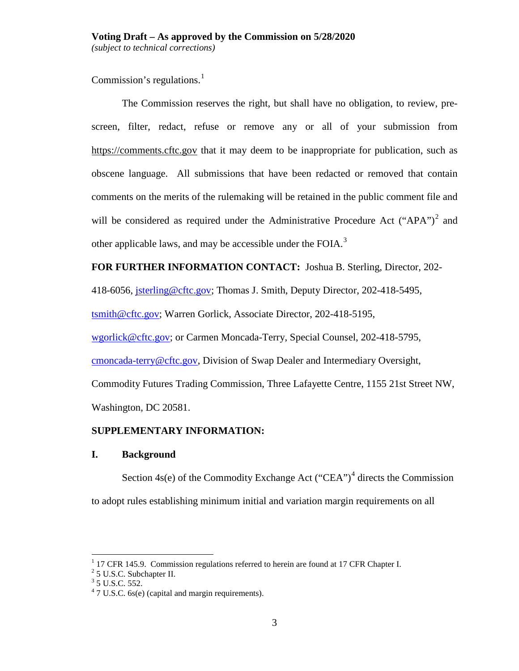Commission's regulations. $<sup>1</sup>$  $<sup>1</sup>$  $<sup>1</sup>$ </sup>

The Commission reserves the right, but shall have no obligation, to review, prescreen, filter, redact, refuse or remove any or all of your submission from [https://comments.cftc.gov](https://comments.cftc.gov/) that it may deem to be inappropriate for publication, such as obscene language. All submissions that have been redacted or removed that contain comments on the merits of the rulemaking will be retained in the public comment file and will be considered as required under the Administrative Procedure Act ("APA")<sup>[2](#page-2-1)</sup> and other applicable laws, and may be accessible under the FOIA.<sup>[3](#page-2-2)</sup>

# **FOR FURTHER INFORMATION CONTACT:** Joshua B. Sterling, Director, 202-

418-6056, [jsterling@cftc.gov;](mailto:jsterling@cftc.gov) Thomas J. Smith, Deputy Director, 202-418-5495,

[tsmith@cftc.gov;](mailto:tsmith@cftc.gov) Warren Gorlick, Associate Director, 202-418-5195,

[wgorlick@cftc.gov;](mailto:wgorlick@cftc.gov) or Carmen Moncada-Terry, Special Counsel, 202-418-5795,

[cmoncada-terry@cftc.gov,](mailto:cmoncada-terry@cftc.gov) Division of Swap Dealer and Intermediary Oversight,

Commodity Futures Trading Commission, Three Lafayette Centre, 1155 21st Street NW,

Washington, DC 20581.

# **SUPPLEMENTARY INFORMATION:**

# **I. Background**

Section  $4s(e)$  $4s(e)$  of the Commodity Exchange Act ("CEA")<sup>4</sup> directs the Commission to adopt rules establishing minimum initial and variation margin requirements on all

<span id="page-2-0"></span> $1$  17 CFR 145.9. Commission regulations referred to herein are found at 17 CFR Chapter I.

<span id="page-2-1"></span><sup>&</sup>lt;sup>2</sup> 5 U.S.C. Subchapter II.

<span id="page-2-2"></span> $3$  5 U.S.C. 552.

<span id="page-2-3"></span> $47 \text{ U.S.C. } 6s(e)$  (capital and margin requirements).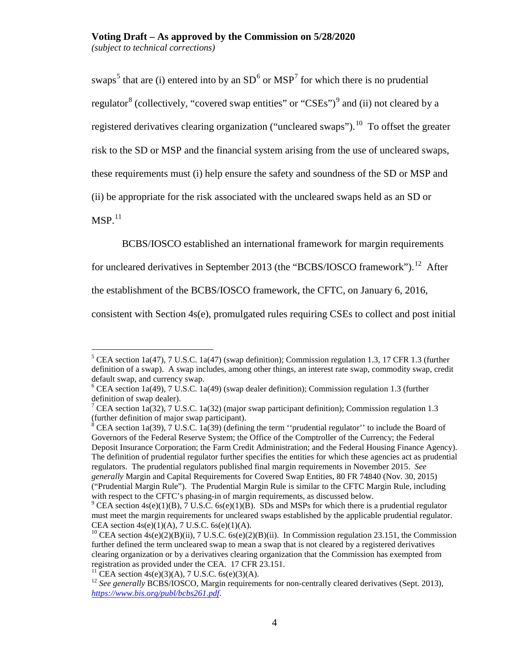swaps<sup>[5](#page-3-0)</sup> that are (i) entered into by an  $SD<sup>6</sup>$  $SD<sup>6</sup>$  $SD<sup>6</sup>$  or  $MSP<sup>7</sup>$  $MSP<sup>7</sup>$  $MSP<sup>7</sup>$  for which there is no prudential regulator<sup>[8](#page-3-3)</sup> (collectively, "covered swap entities" or "CSEs")<sup>[9](#page-3-4)</sup> and (ii) not cleared by a registered derivatives clearing organization ("uncleared swaps").<sup>10</sup> To offset the greater risk to the SD or MSP and the financial system arising from the use of uncleared swaps, these requirements must (i) help ensure the safety and soundness of the SD or MSP and (ii) be appropriate for the risk associated with the uncleared swaps held as an SD or  $MSP.$ <sup>[11](#page-3-6)</sup>

BCBS/IOSCO established an international framework for margin requirements

for uncleared derivatives in September 2013 (the "BCBS/IOSCO framework").<sup>[12](#page-3-7)</sup> After

the establishment of the BCBS/IOSCO framework, the CFTC, on January 6, 2016,

consistent with Section 4s(e), promulgated rules requiring CSEs to collect and post initial

<span id="page-3-0"></span> <sup>5</sup> CEA section 1a(47), 7 U.S.C. 1a(47) (swap definition); Commission regulation 1.3, 17 CFR 1.3 (further definition of a swap). A swap includes, among other things, an interest rate swap, commodity swap, credit default swap, and currency swap.<br><sup>6</sup> CEA section 1a(49), 7 U.S.C. 1a(49) (swap dealer definition); Commission regulation 1.3 (further

<span id="page-3-1"></span>definition of swap dealer).

<span id="page-3-2"></span><sup>&</sup>lt;sup>7</sup> CEA section 1a(32), 7 U.S.C. 1a(32) (major swap participant definition); Commission regulation 1.3 (further definition of major swap participant).<br><sup>8</sup> CEA section 1a(39), 7 U.S.C. 1a(39) (defining the term "prudential regulator" to include the Board of

<span id="page-3-3"></span>Governors of the Federal Reserve System; the Office of the Comptroller of the Currency; the Federal Deposit Insurance Corporation; the Farm Credit Administration; and the Federal Housing Finance Agency). The definition of prudential regulator further specifies the entities for which these agencies act as prudential regulators. The prudential regulators published final margin requirements in November 2015. *See generally* Margin and Capital Requirements for Covered Swap Entities, 80 FR 74840 (Nov. 30, 2015) ("Prudential Margin Rule"). The Prudential Margin Rule is similar to the CFTC Margin Rule, including with respect to the CFTC's phasing-in of margin requirements, as discussed below.<br><sup>9</sup> CEA section 4s(e)(1)(B), 7 U.S.C. 6s(e)(1)(B). SDs and MSPs for which there is a prudential regulator

<span id="page-3-4"></span>must meet the margin requirements for uncleared swaps established by the applicable prudential regulator. CEA section  $4s(e)(1)(A)$ , 7 U.S.C.  $6s(e)(1)(A)$ .

<span id="page-3-5"></span><sup>&</sup>lt;sup>10</sup> CEA section  $4s(e)(2)(B)(ii)$ , 7 U.S.C.  $6s(e)(2)(B)(ii)$ . In Commission regulation 23.151, the Commission further defined the term uncleared swap to mean a swap that is not cleared by a registered derivatives clearing organization or by a derivatives clearing organization that the Commission has exempted from registration as provided under the CEA. 17 CFR 23.151.<br><sup>11</sup> CEA section 4s(e)(3)(A), 7 U.S.C. 6s(e)(3)(A).

<span id="page-3-6"></span>

<span id="page-3-7"></span><sup>&</sup>lt;sup>12</sup> See generally BCBS/IOSCO, Margin requirements for non-centrally cleared derivatives (Sept. 2013), *<https://www.bis.org/publ/bcbs261.pdf>*.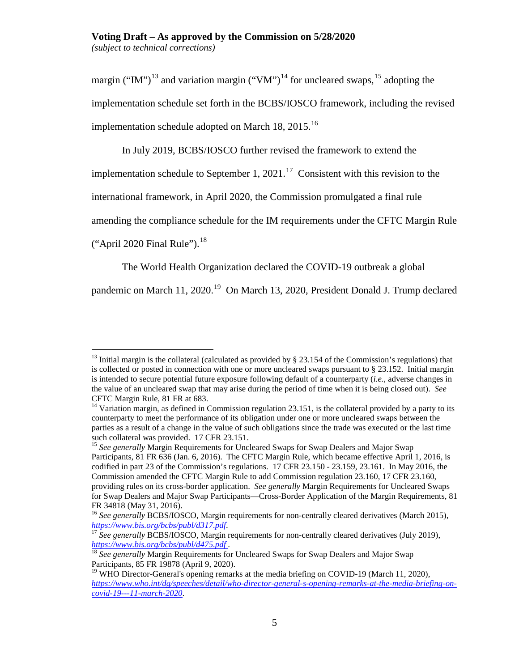# **Voting Draft – As approved by the Commission on 5/28/2020**

*(subject to technical corrections)*

margin ("IM")<sup>[13](#page-4-0)</sup> and variation margin ("VM")<sup>[14](#page-4-1)</sup> for uncleared swaps, <sup>[15](#page-4-2)</sup> adopting the implementation schedule set forth in the BCBS/IOSCO framework, including the revised implementation schedule adopted on March  $18$ ,  $2015$ .<sup>[16](#page-4-3)</sup>

In July 2019, BCBS/IOSCO further revised the framework to extend the

implementation schedule to September 1, 2021.<sup>17</sup> Consistent with this revision to the

international framework, in April 2020, the Commission promulgated a final rule

amending the compliance schedule for the IM requirements under the CFTC Margin Rule

("April 2020 Final Rule"). $^{18}$  $^{18}$  $^{18}$ 

The World Health Organization declared the COVID-19 outbreak a global

pandemic on March 11, 2020.<sup>[19](#page-4-6)</sup> On March 13, 2020, President Donald J. Trump declared

<span id="page-4-0"></span> $13$  Initial margin is the collateral (calculated as provided by § 23.154 of the Commission's regulations) that is collected or posted in connection with one or more uncleared swaps pursuant to § 23.152. Initial margin is intended to secure potential future exposure following default of a counterparty (*i.e.*, adverse changes in the value of an uncleared swap that may arise during the period of time when it is being closed out). *See* CFTC Margin Rule, 81 FR at 683.

<span id="page-4-1"></span><sup>&</sup>lt;sup>14</sup> Variation margin, as defined in Commission regulation 23.151, is the collateral provided by a party to its counterparty to meet the performance of its obligation under one or more uncleared swaps between the parties as a result of a change in the value of such obligations since the trade was executed or the last time such collateral was provided. 17 CFR 23.151.

<span id="page-4-2"></span><sup>&</sup>lt;sup>15</sup> See generally Margin Requirements for Uncleared Swaps for Swap Dealers and Major Swap Participants, 81 FR 636 (Jan. 6, 2016). The CFTC Margin Rule, which became effective April 1, 2016, is codified in part 23 of the Commission's regulations. 17 CFR 23.150 - 23.159, 23.161. In May 2016, the Commission amended the CFTC Margin Rule to add Commission regulation 23.160, 17 CFR 23.160, providing rules on its cross-border application. *See generally* Margin Requirements for Uncleared Swaps for Swap Dealers and Major Swap Participants—Cross-Border Application of the Margin Requirements, 81 FR 34818 (May 31, 2016).

<span id="page-4-3"></span><sup>&</sup>lt;sup>16</sup> See generally BCBS/IOSCO, Margin requirements for non-centrally cleared derivatives (March 2015),

<span id="page-4-4"></span>*https://www[.](https://www.bis.org/bcbs/publ/d317.pdf)bis.org/bcbs/publ/d3[17](https://www.bis.org/bcbs/publ/d317.pdf).pdf.* <sup>17</sup> *See generally BCBS/IOSCO, Margin requirements for non-centrally cleared derivatives (July 2019), https://www.bis.org/bcbs/publ/d475.pdf*.

<span id="page-4-5"></span><sup>&</sup>lt;sup>18</sup> *See generally* Margin Requirements for Uncleared Swaps for Swap Dealers and Major Swap Participants, 85 FR 19878 (April 9, 2020).

<span id="page-4-6"></span><sup>&</sup>lt;sup>19</sup> WHO Director-General's opening remarks at the media briefing on COVID-19 (March 11, 2020), *[https://www.who.int/dg/speeches/detail/who-director-general-s-opening-remarks-at-the-media-briefing-on](https://www.who.int/dg/speeches/detail/who-director-general-s-opening-remarks-at-the-media-briefing-on-covid-19---11-march-2020)[covid-19---11-march-2020](https://www.who.int/dg/speeches/detail/who-director-general-s-opening-remarks-at-the-media-briefing-on-covid-19---11-march-2020)*.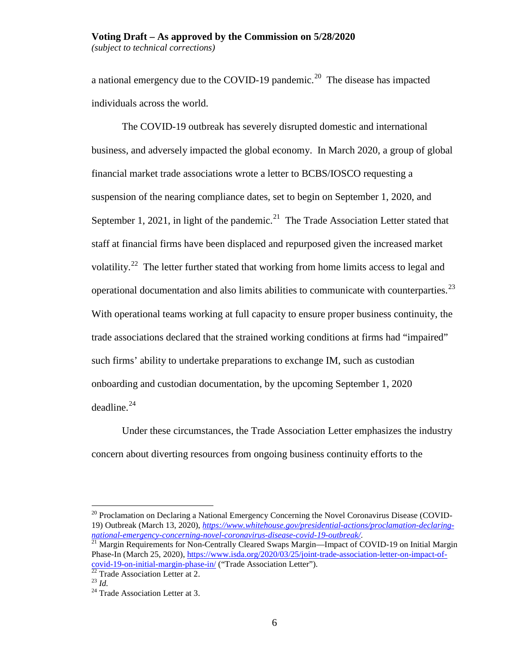#### **Voting Draft – As approved by the Commission on 5/28/2020** *(subject to technical corrections)*

a national emergency due to the COVID-19 pandemic.<sup>[20](#page-5-0)</sup> The disease has impacted individuals across the world.

The COVID-19 outbreak has severely disrupted domestic and international business, and adversely impacted the global economy. In March 2020, a group of global financial market trade associations wrote a letter to BCBS/IOSCO requesting a suspension of the nearing compliance dates, set to begin on September 1, 2020, and September 1, 2021, in light of the pandemic.<sup>21</sup> The Trade Association Letter stated that staff at financial firms have been displaced and repurposed given the increased market volatility.<sup>22</sup> The letter further stated that working from home limits access to legal and operational documentation and also limits abilities to communicate with counterparties.<sup>[23](#page-5-3)</sup> With operational teams working at full capacity to ensure proper business continuity, the trade associations declared that the strained working conditions at firms had "impaired" such firms' ability to undertake preparations to exchange IM, such as custodian onboarding and custodian documentation, by the upcoming September 1, 2020 deadline. [24](#page-5-4)

Under these circumstances, the Trade Association Letter emphasizes the industry concern about diverting resources from ongoing business continuity efforts to the

<span id="page-5-0"></span> $20$  Proclamation on Declaring a National Emergency Concerning the Novel Coronavirus Disease (COVID-19) Outbreak (March 13, 2020), *[https://www.whitehouse.gov/presidential-actions/proclamation-declaring](https://www.whitehouse.gov/presidential-actions/proclamation-declaring-national-emergency-concerning-novel-coronavirus-disease-covid-19-outbreak/)[national-emergency-concerning-novel-coronavirus-disease-covid-19-outbreak/](https://www.whitehouse.gov/presidential-actions/proclamation-declaring-national-emergency-concerning-novel-coronavirus-disease-covid-19-outbreak/)*.<br><sup>21</sup> Margin Requirements for Non-Centrally Cleared Swaps Margin—Impact of COVID-19 on Initial Margin

<span id="page-5-1"></span>Phase-In (March 25, 2020), [https://www.isda.org/2020/03/25/joint-trade-association-letter-on-impact-of](https://www.isda.org/2020/03/25/joint-trade-association-letter-on-impact-of-covid-19-on-initial-margin-phase-in/)[covid-19-on-initial-margin-phase-in/](https://www.isda.org/2020/03/25/joint-trade-association-letter-on-impact-of-covid-19-on-initial-margin-phase-in/) ("Trade Association Letter"). <sup>22</sup> Trade Association Letter at 2. <sup>23</sup> *Id.* <sup>24</sup> Trade Association Letter at 3.

<span id="page-5-4"></span><span id="page-5-3"></span><span id="page-5-2"></span>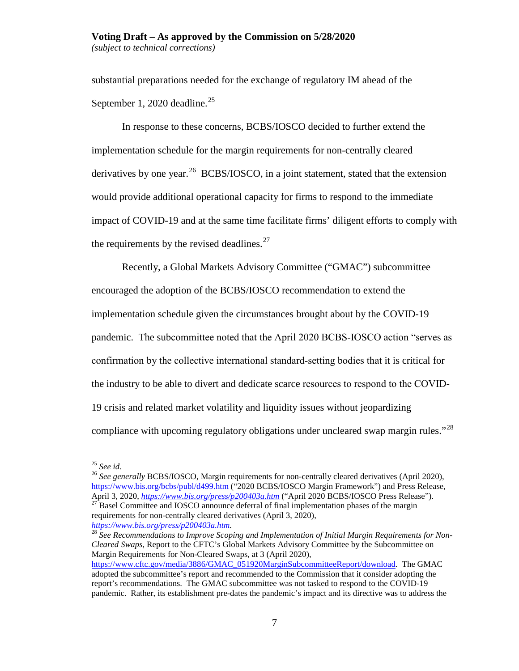# **Voting Draft – As approved by the Commission on 5/28/2020** *(subject to technical corrections)*

substantial preparations needed for the exchange of regulatory IM ahead of the September 1, 2020 deadline.<sup>[25](#page-6-0)</sup>

In response to these concerns, BCBS/IOSCO decided to further extend the implementation schedule for the margin requirements for non-centrally cleared derivatives by one year.<sup>[26](#page-6-1)</sup> BCBS/IOSCO, in a joint statement, stated that the extension would provide additional operational capacity for firms to respond to the immediate impact of COVID-19 and at the same time facilitate firms' diligent efforts to comply with the requirements by the revised deadlines. $27$ 

Recently, a Global Markets Advisory Committee ("GMAC") subcommittee encouraged the adoption of the BCBS/IOSCO recommendation to extend the implementation schedule given the circumstances brought about by the COVID-19 pandemic. The subcommittee noted that the April 2020 BCBS‐IOSCO action "serves as confirmation by the collective international standard‐setting bodies that it is critical for the industry to be able to divert and dedicate scarce resources to respond to the COVID‐ 19 crisis and related market volatility and liquidity issues without jeopardizing compliance with upcoming regulatory obligations under uncleared swap margin rules."<sup>[28](#page-6-3)</sup>

<span id="page-6-3"></span>*[https://www.bis.org/press/p200403a.htm.](https://www.bis.org/press/p200403a.htm)* <sup>28</sup> *See Recommendations to Improve Scoping and Implementation of Initial Margin Requirements for Non-Cleared Swaps,* Report to the CFTC's Global Markets Advisory Committee by the Subcommittee on Margin Requirements for Non-Cleared Swaps, at 3 (April 2020), [https://www.cftc.gov/media/3886/GMAC\\_051920MarginSubcommitteeReport/download.](https://www.cftc.gov/media/3886/GMAC_051920MarginSubcommitteeReport/download) The GMAC adopted the subcommittee's report and recommended to the Commission that it consider adopting the report's recommendations. The GMAC subcommittee was not tasked to respond to the COVID-19 pandemic. Rather, its establishment pre-dates the pandemic's impact and its directive was to address the

<span id="page-6-1"></span>

<span id="page-6-0"></span><sup>&</sup>lt;sup>25</sup> *See id.* 26 *See id.* 26 *See id.* 2020), Margin requirements for non-centrally cleared derivatives (April 2020), 26 See generally BCBS/IOSCO, Margin requirements for non-centrally cleared derivatives (April 2020), <https://www.bis.org/bcbs/publ/d499.htm> ("2020 BCBS/IOSCO Margin Framework") and Press Release, April 3, 2020, *<https://www.bis.org/press/p200403a.htm>* ("April 2020 BCBS/IOSCO Press Release").<br><sup>27</sup> Basel Committee and IOSCO announce deferral of final implementation phases of the margin

<span id="page-6-2"></span>requirements for non-centrally cleared derivatives (April 3, 2020),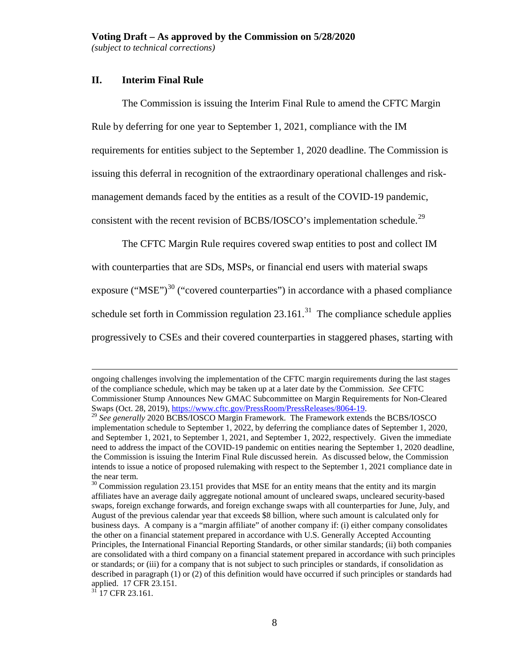# **II. Interim Final Rule**

The Commission is issuing the Interim Final Rule to amend the CFTC Margin Rule by deferring for one year to September 1, 2021, compliance with the IM requirements for entities subject to the September 1, 2020 deadline. The Commission is issuing this deferral in recognition of the extraordinary operational challenges and riskmanagement demands faced by the entities as a result of the COVID-19 pandemic, consistent with the recent revision of BCBS/IOSCO's implementation schedule.<sup>[29](#page-7-0)</sup>

<span id="page-7-3"></span>The CFTC Margin Rule requires covered swap entities to post and collect IM

with counterparties that are SDs, MSPs, or financial end users with material swaps exposure (" $MSE$ ")<sup>[30](#page-7-1)</sup> ("covered counterparties") in accordance with a phased compliance schedule set forth in Commission regulation  $23.161$ <sup>31</sup>. The compliance schedule applies progressively to CSEs and their covered counterparties in staggered phases, starting with

<span id="page-7-2"></span> $31$  17 CFR 23.161.

ongoing challenges involving the implementation of the CFTC margin requirements during the last stages of the compliance schedule, which may be taken up at a later date by the Commission. *See* CFTC Commissioner Stump Announces New GMAC Subcommittee on Margin Requirements for Non-Cleared Swaps (Oct. 28, 2019)[, https://www.cftc.gov/PressRoom/PressReleases/8064-19.](https://www.cftc.gov/PressRoom/PressReleases/8064-19) <sup>29</sup> *See generally* 2020 BCBS/IOSCO Margin Framework. The Framework extends the BCBS/IOSCO

<span id="page-7-0"></span>implementation schedule to September 1, 2022, by deferring the compliance dates of September 1, 2020, and September 1, 2021, to September 1, 2021, and September 1, 2022, respectively. Given the immediate need to address the impact of the COVID-19 pandemic on entities nearing the September 1, 2020 deadline, the Commission is issuing the Interim Final Rule discussed herein. As discussed below, the Commission intends to issue a notice of proposed rulemaking with respect to the September 1, 2021 compliance date in the near term.<br><sup>30</sup> Commission regulation 23.151 provides that MSE for an entity means that the entity and its margin

<span id="page-7-1"></span>affiliates have an average daily aggregate notional amount of uncleared swaps, uncleared security-based swaps, foreign exchange forwards, and foreign exchange swaps with all counterparties for June, July, and August of the previous calendar year that exceeds \$8 billion, where such amount is calculated only for business days. A company is a "margin affiliate" of another company if: (i) either company consolidates the other on a financial statement prepared in accordance with U.S. Generally Accepted Accounting Principles, the International Financial Reporting Standards, or other similar standards; (ii) both companies are consolidated with a third company on a financial statement prepared in accordance with such principles or standards; or (iii) for a company that is not subject to such principles or standards, if consolidation as described in paragraph (1) or (2) of this definition would have occurred if such principles or standards had applied. 17 CFR 23.151.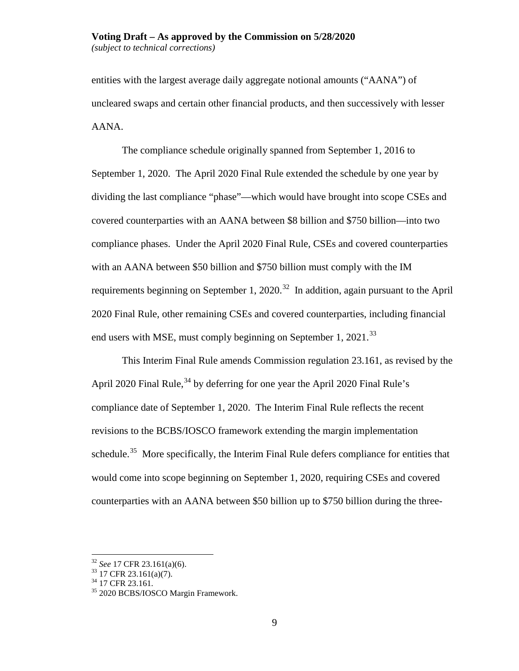#### **Voting Draft – As approved by the Commission on 5/28/2020** *(subject to technical corrections)*

entities with the largest average daily aggregate notional amounts ("AANA") of uncleared swaps and certain other financial products, and then successively with lesser AANA.

The compliance schedule originally spanned from September 1, 2016 to September 1, 2020. The April 2020 Final Rule extended the schedule by one year by dividing the last compliance "phase"—which would have brought into scope CSEs and covered counterparties with an AANA between \$8 billion and \$750 billion—into two compliance phases. Under the April 2020 Final Rule, CSEs and covered counterparties with an AANA between \$50 billion and \$750 billion must comply with the IM requirements beginning on September 1, 2020.<sup>32</sup> In addition, again pursuant to the April 2020 Final Rule, other remaining CSEs and covered counterparties, including financial end users with MSE, must comply beginning on September 1,  $2021$ .<sup>[33](#page-8-1)</sup>

This Interim Final Rule amends Commission regulation 23.161, as revised by the April 2020 Final Rule,  $34$  by deferring for one year the April 2020 Final Rule's compliance date of September 1, 2020. The Interim Final Rule reflects the recent revisions to the BCBS/IOSCO framework extending the margin implementation schedule.<sup>[35](#page-8-3)</sup> More specifically, the Interim Final Rule defers compliance for entities that would come into scope beginning on September 1, 2020, requiring CSEs and covered counterparties with an AANA between \$50 billion up to \$750 billion during the three-

<span id="page-8-2"></span>

<span id="page-8-3"></span>

<span id="page-8-1"></span><span id="page-8-0"></span><sup>&</sup>lt;sup>32</sup> *See* 17 CFR 23.161(a)(6).<br><sup>33</sup> 17 CFR 23.161(a)(7).<br><sup>34</sup> 17 CFR 23.161.<br><sup>35</sup> 2020 BCBS/IOSCO Margin Framework.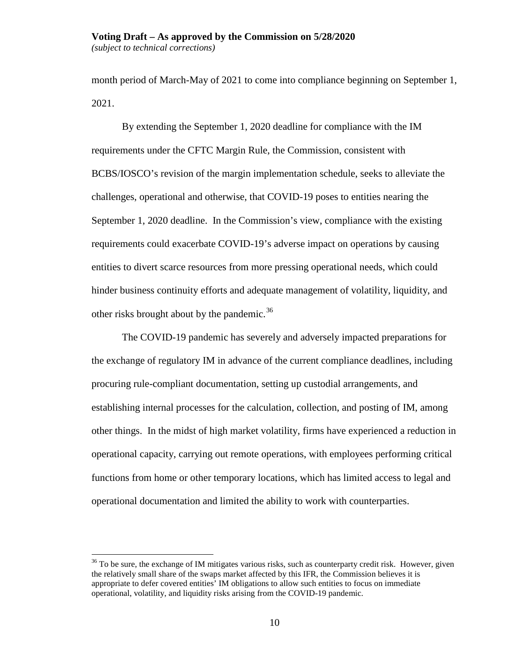# **Voting Draft – As approved by the Commission on 5/28/2020**

*(subject to technical corrections)*

month period of March-May of 2021 to come into compliance beginning on September 1, 2021.

By extending the September 1, 2020 deadline for compliance with the IM requirements under the CFTC Margin Rule, the Commission, consistent with BCBS/IOSCO's revision of the margin implementation schedule, seeks to alleviate the challenges, operational and otherwise, that COVID-19 poses to entities nearing the September 1, 2020 deadline. In the Commission's view, compliance with the existing requirements could exacerbate COVID-19's adverse impact on operations by causing entities to divert scarce resources from more pressing operational needs, which could hinder business continuity efforts and adequate management of volatility, liquidity, and other risks brought about by the pandemic.<sup>[36](#page-9-0)</sup>

The COVID-19 pandemic has severely and adversely impacted preparations for the exchange of regulatory IM in advance of the current compliance deadlines, including procuring rule-compliant documentation, setting up custodial arrangements, and establishing internal processes for the calculation, collection, and posting of IM, among other things. In the midst of high market volatility, firms have experienced a reduction in operational capacity, carrying out remote operations, with employees performing critical functions from home or other temporary locations, which has limited access to legal and operational documentation and limited the ability to work with counterparties.

<span id="page-9-0"></span> $36$  To be sure, the exchange of IM mitigates various risks, such as counterparty credit risk. However, given the relatively small share of the swaps market affected by this IFR, the Commission believes it is appropriate to defer covered entities' IM obligations to allow such entities to focus on immediate operational, volatility, and liquidity risks arising from the COVID-19 pandemic.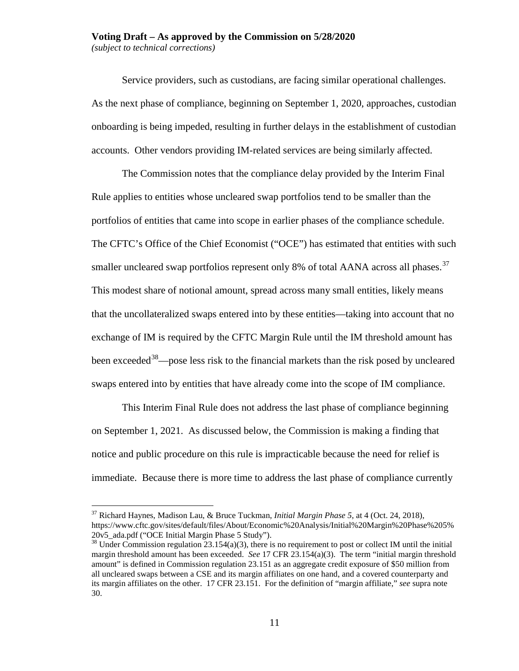Service providers, such as custodians, are facing similar operational challenges. As the next phase of compliance, beginning on September 1, 2020, approaches, custodian onboarding is being impeded, resulting in further delays in the establishment of custodian accounts. Other vendors providing IM-related services are being similarly affected.

The Commission notes that the compliance delay provided by the Interim Final Rule applies to entities whose uncleared swap portfolios tend to be smaller than the portfolios of entities that came into scope in earlier phases of the compliance schedule. The CFTC's Office of the Chief Economist ("OCE") has estimated that entities with such smaller uncleared swap portfolios represent only 8% of total AANA across all phases.<sup>[37](#page-10-0)</sup> This modest share of notional amount, spread across many small entities, likely means that the uncollateralized swaps entered into by these entities—taking into account that no exchange of IM is required by the CFTC Margin Rule until the IM threshold amount has been exceeded<sup>38</sup>—pose less risk to the financial markets than the risk posed by uncleared swaps entered into by entities that have already come into the scope of IM compliance.

This Interim Final Rule does not address the last phase of compliance beginning on September 1, 2021. As discussed below, the Commission is making a finding that notice and public procedure on this rule is impracticable because the need for relief is immediate. Because there is more time to address the last phase of compliance currently

<span id="page-10-0"></span> <sup>37</sup> Richard Haynes, Madison Lau, & Bruce Tuckman, *Initial Margin Phase 5*, at 4 (Oct. 24, 2018), https://www.cftc.gov/sites/default/files/About/Economic%20Analysis/Initial%20Margin%20Phase%205% 20v5\_ada.pdf ("OCE Initial Margin Phase 5 Study").<br><sup>38</sup> Under Commission regulation 23.154(a)(3), there is no requirement to post or collect IM until the initial

<span id="page-10-1"></span>margin threshold amount has been exceeded. *See* 17 CFR 23.154(a)(3). The term "initial margin threshold amount" is defined in Commission regulation 23.151 as an aggregate credit exposure of \$50 million from all uncleared swaps between a CSE and its margin affiliates on one hand, and a covered counterparty and its margin affiliates on the other. 17 CFR 23.151. For the definition of "margin affiliate," *see* supra note [30.](#page-7-3)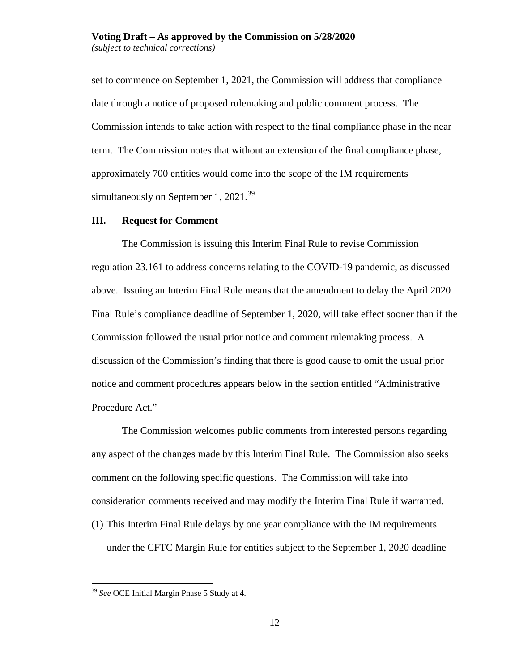set to commence on September 1, 2021, the Commission will address that compliance date through a notice of proposed rulemaking and public comment process. The Commission intends to take action with respect to the final compliance phase in the near term. The Commission notes that without an extension of the final compliance phase, approximately 700 entities would come into the scope of the IM requirements simultaneously on September 1,  $2021.^{39}$  $2021.^{39}$  $2021.^{39}$ 

### **III. Request for Comment**

The Commission is issuing this Interim Final Rule to revise Commission regulation 23.161 to address concerns relating to the COVID-19 pandemic, as discussed above. Issuing an Interim Final Rule means that the amendment to delay the April 2020 Final Rule's compliance deadline of September 1, 2020, will take effect sooner than if the Commission followed the usual prior notice and comment rulemaking process. A discussion of the Commission's finding that there is good cause to omit the usual prior notice and comment procedures appears below in the section entitled "Administrative Procedure Act."

The Commission welcomes public comments from interested persons regarding any aspect of the changes made by this Interim Final Rule. The Commission also seeks comment on the following specific questions. The Commission will take into consideration comments received and may modify the Interim Final Rule if warranted. (1) This Interim Final Rule delays by one year compliance with the IM requirements under the CFTC Margin Rule for entities subject to the September 1, 2020 deadline

<span id="page-11-0"></span> <sup>39</sup> *See* OCE Initial Margin Phase 5 Study at 4.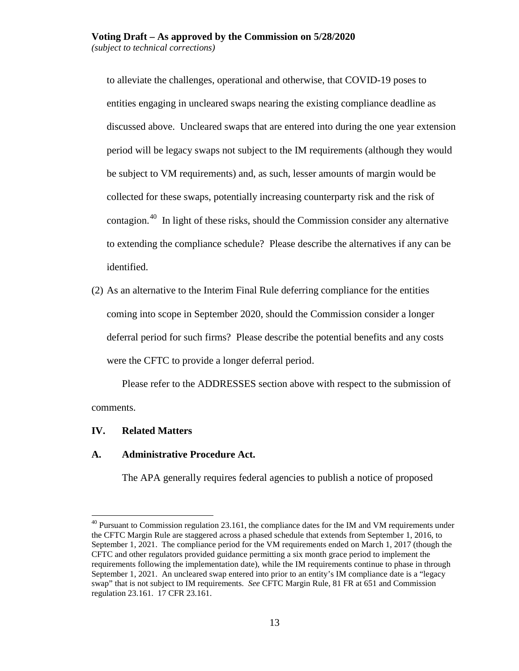to alleviate the challenges, operational and otherwise, that COVID-19 poses to entities engaging in uncleared swaps nearing the existing compliance deadline as discussed above. Uncleared swaps that are entered into during the one year extension period will be legacy swaps not subject to the IM requirements (although they would be subject to VM requirements) and, as such, lesser amounts of margin would be collected for these swaps, potentially increasing counterparty risk and the risk of contagion. [40](#page-12-0) In light of these risks, should the Commission consider any alternative to extending the compliance schedule? Please describe the alternatives if any can be identified.

<span id="page-12-1"></span>(2) As an alternative to the Interim Final Rule deferring compliance for the entities coming into scope in September 2020, should the Commission consider a longer deferral period for such firms? Please describe the potential benefits and any costs were the CFTC to provide a longer deferral period.

Please refer to the ADDRESSES section above with respect to the submission of comments.

#### **IV. Related Matters**

#### **A. Administrative Procedure Act.**

The APA generally requires federal agencies to publish a notice of proposed

<span id="page-12-0"></span> $^{40}$  Pursuant to Commission regulation 23.161, the compliance dates for the IM and VM requirements under the CFTC Margin Rule are staggered across a phased schedule that extends from September 1, 2016, to September 1, 2021. The compliance period for the VM requirements ended on March 1, 2017 (though the CFTC and other regulators provided guidance permitting a six month grace period to implement the requirements following the implementation date), while the IM requirements continue to phase in through September 1, 2021. An uncleared swap entered into prior to an entity's IM compliance date is a "legacy swap" that is not subject to IM requirements. *See* CFTC Margin Rule, 81 FR at 651 and Commission regulation 23.161. 17 CFR 23.161.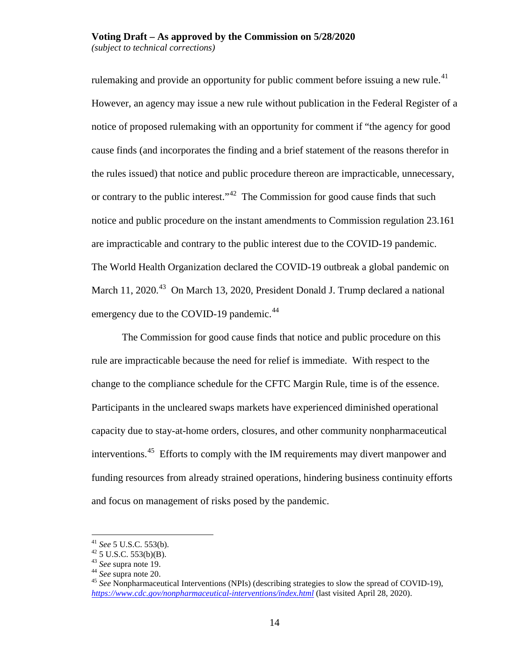rulemaking and provide an opportunity for public comment before issuing a new rule.<sup>41</sup> However, an agency may issue a new rule without publication in the Federal Register of a notice of proposed rulemaking with an opportunity for comment if "the agency for good cause finds (and incorporates the finding and a brief statement of the reasons therefor in the rules issued) that notice and public procedure thereon are impracticable, unnecessary, or contrary to the public interest."<sup>[42](#page-13-1)</sup> The Commission for good cause finds that such notice and public procedure on the instant amendments to Commission regulation 23.161 are impracticable and contrary to the public interest due to the COVID-19 pandemic. The World Health Organization declared the COVID-19 outbreak a global pandemic on March 11, 2020.<sup>43</sup> On March 13, 2020, President Donald J. Trump declared a national emergency due to the COVID-19 pandemic.<sup>[44](#page-13-3)</sup>

The Commission for good cause finds that notice and public procedure on this rule are impracticable because the need for relief is immediate. With respect to the change to the compliance schedule for the CFTC Margin Rule, time is of the essence. Participants in the uncleared swaps markets have experienced diminished operational capacity due to stay-at-home orders, closures, and other community nonpharmaceutical interventions.<sup>[45](#page-13-4)</sup> Efforts to comply with the IM requirements may divert manpower and funding resources from already strained operations, hindering business continuity efforts and focus on management of risks posed by the pandemic.

<span id="page-13-2"></span>

<span id="page-13-4"></span><span id="page-13-3"></span>

<span id="page-13-5"></span><span id="page-13-1"></span><span id="page-13-0"></span><sup>41</sup> *See* 5 U.S.C. 553(b).<br><sup>42</sup> 5 U.S.C. 553(b)(B).<br><sup>43</sup> *See* supra note 19.<br><sup>45</sup> *See* Nonpharmaceutical Interventions (NPIs) (describing strategies to slow the spread of COVID-19),<br><sup>45</sup> *See* Nonpharmaceutical Interventi *<https://www.cdc.gov/nonpharmaceutical-interventions/index.html>* (last visited April 28, 2020).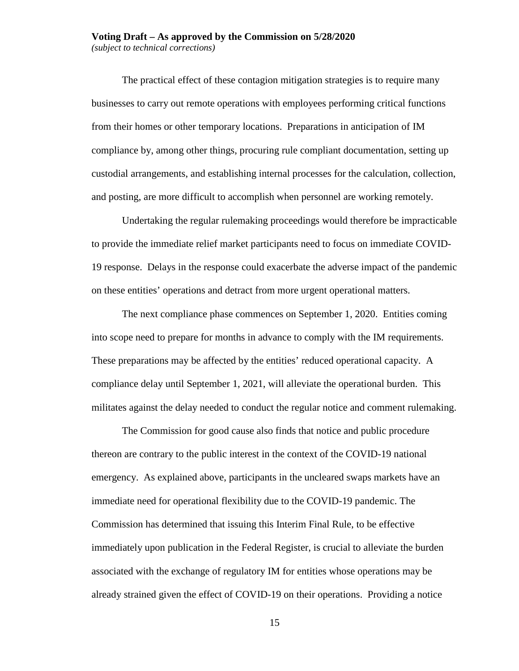# **Voting Draft – As approved by the Commission on 5/28/2020**

*(subject to technical corrections)*

The practical effect of these contagion mitigation strategies is to require many businesses to carry out remote operations with employees performing critical functions from their homes or other temporary locations. Preparations in anticipation of IM compliance by, among other things, procuring rule compliant documentation, setting up custodial arrangements, and establishing internal processes for the calculation, collection, and posting, are more difficult to accomplish when personnel are working remotely.

Undertaking the regular rulemaking proceedings would therefore be impracticable to provide the immediate relief market participants need to focus on immediate COVID-19 response. Delays in the response could exacerbate the adverse impact of the pandemic on these entities' operations and detract from more urgent operational matters.

The next compliance phase commences on September 1, 2020. Entities coming into scope need to prepare for months in advance to comply with the IM requirements. These preparations may be affected by the entities' reduced operational capacity. A compliance delay until September 1, 2021, will alleviate the operational burden. This militates against the delay needed to conduct the regular notice and comment rulemaking.

The Commission for good cause also finds that notice and public procedure thereon are contrary to the public interest in the context of the COVID-19 national emergency. As explained above, participants in the uncleared swaps markets have an immediate need for operational flexibility due to the COVID-19 pandemic. The Commission has determined that issuing this Interim Final Rule, to be effective immediately upon publication in the Federal Register, is crucial to alleviate the burden associated with the exchange of regulatory IM for entities whose operations may be already strained given the effect of COVID-19 on their operations. Providing a notice

15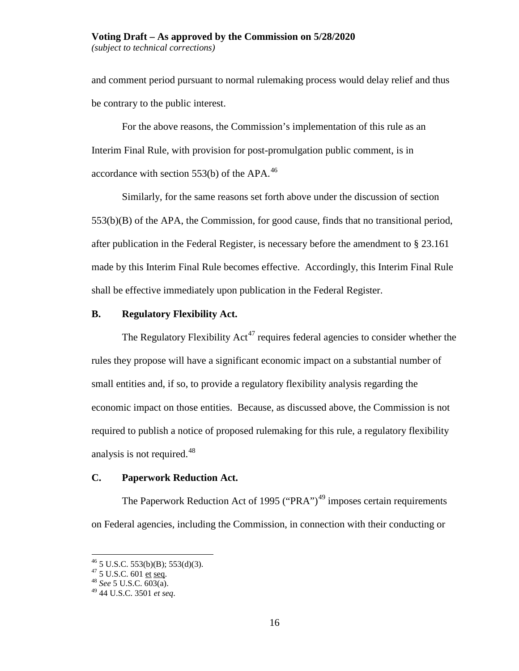and comment period pursuant to normal rulemaking process would delay relief and thus be contrary to the public interest.

For the above reasons, the Commission's implementation of this rule as an Interim Final Rule, with provision for post-promulgation public comment, is in accordance with section  $553(b)$  of the APA.<sup>46</sup>

Similarly, for the same reasons set forth above under the discussion of section 553(b)(B) of the APA, the Commission, for good cause, finds that no transitional period, after publication in the Federal Register, is necessary before the amendment to § 23.161 made by this Interim Final Rule becomes effective. Accordingly, this Interim Final Rule shall be effective immediately upon publication in the Federal Register.

# **B. Regulatory Flexibility Act.**

The Regulatory Flexibility Act<sup>[47](#page-15-1)</sup> requires federal agencies to consider whether the rules they propose will have a significant economic impact on a substantial number of small entities and, if so, to provide a regulatory flexibility analysis regarding the economic impact on those entities. Because, as discussed above, the Commission is not required to publish a notice of proposed rulemaking for this rule, a regulatory flexibility analysis is not required.  $48$ 

# **C. Paperwork Reduction Act.**

The Paperwork Reduction Act of 1995 ("PRA")<sup>[49](#page-15-3)</sup> imposes certain requirements on Federal agencies, including the Commission, in connection with their conducting or

<span id="page-15-1"></span><span id="page-15-0"></span><sup>46</sup> 5 U.S.C. 553(b)(B); 553(d)(3). <sup>47</sup> 5 U.S.C. 601 et seq. <sup>48</sup> *See* 5 U.S.C. 603(a).

<span id="page-15-3"></span><span id="page-15-2"></span><sup>49</sup> 44 U.S.C. 3501 *et seq*.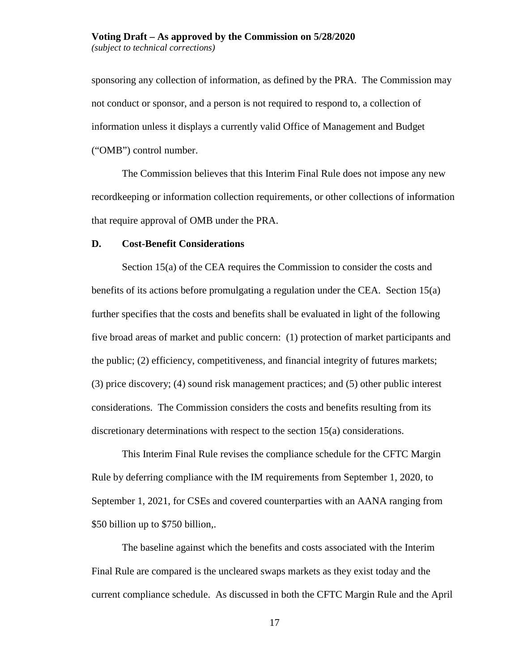sponsoring any collection of information, as defined by the PRA. The Commission may not conduct or sponsor, and a person is not required to respond to, a collection of information unless it displays a currently valid Office of Management and Budget ("OMB") control number.

The Commission believes that this Interim Final Rule does not impose any new recordkeeping or information collection requirements, or other collections of information that require approval of OMB under the PRA.

#### **D. Cost-Benefit Considerations**

Section 15(a) of the CEA requires the Commission to consider the costs and benefits of its actions before promulgating a regulation under the CEA. Section 15(a) further specifies that the costs and benefits shall be evaluated in light of the following five broad areas of market and public concern: (1) protection of market participants and the public; (2) efficiency, competitiveness, and financial integrity of futures markets; (3) price discovery; (4) sound risk management practices; and (5) other public interest considerations. The Commission considers the costs and benefits resulting from its discretionary determinations with respect to the section 15(a) considerations.

This Interim Final Rule revises the compliance schedule for the CFTC Margin Rule by deferring compliance with the IM requirements from September 1, 2020, to September 1, 2021, for CSEs and covered counterparties with an AANA ranging from \$50 billion up to \$750 billion,.

The baseline against which the benefits and costs associated with the Interim Final Rule are compared is the uncleared swaps markets as they exist today and the current compliance schedule. As discussed in both the CFTC Margin Rule and the April

17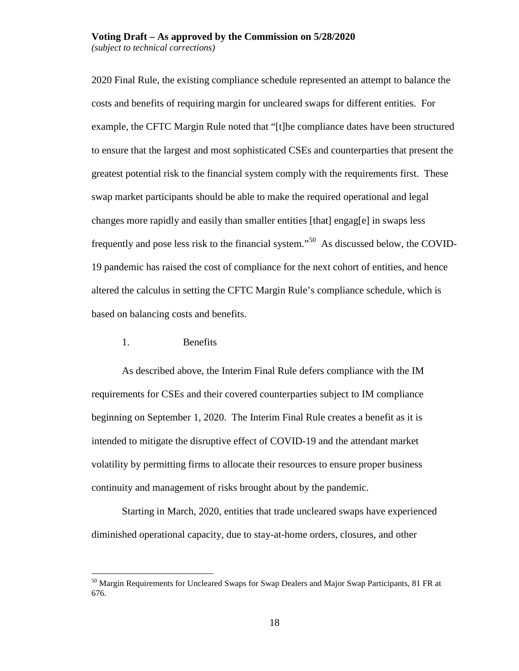2020 Final Rule, the existing compliance schedule represented an attempt to balance the costs and benefits of requiring margin for uncleared swaps for different entities. For example, the CFTC Margin Rule noted that "[t]he compliance dates have been structured to ensure that the largest and most sophisticated CSEs and counterparties that present the greatest potential risk to the financial system comply with the requirements first. These swap market participants should be able to make the required operational and legal changes more rapidly and easily than smaller entities [that] engag[e] in swaps less frequently and pose less risk to the financial system."[50](#page-17-0) As discussed below, the COVID-19 pandemic has raised the cost of compliance for the next cohort of entities, and hence altered the calculus in setting the CFTC Margin Rule's compliance schedule, which is based on balancing costs and benefits.

#### 1. Benefits

As described above, the Interim Final Rule defers compliance with the IM requirements for CSEs and their covered counterparties subject to IM compliance beginning on September 1, 2020. The Interim Final Rule creates a benefit as it is intended to mitigate the disruptive effect of COVID-19 and the attendant market volatility by permitting firms to allocate their resources to ensure proper business continuity and management of risks brought about by the pandemic.

Starting in March, 2020, entities that trade uncleared swaps have experienced diminished operational capacity, due to stay-at-home orders, closures, and other

<span id="page-17-0"></span><sup>&</sup>lt;sup>50</sup> Margin Requirements for Uncleared Swaps for Swap Dealers and Major Swap Participants, 81 FR at 676.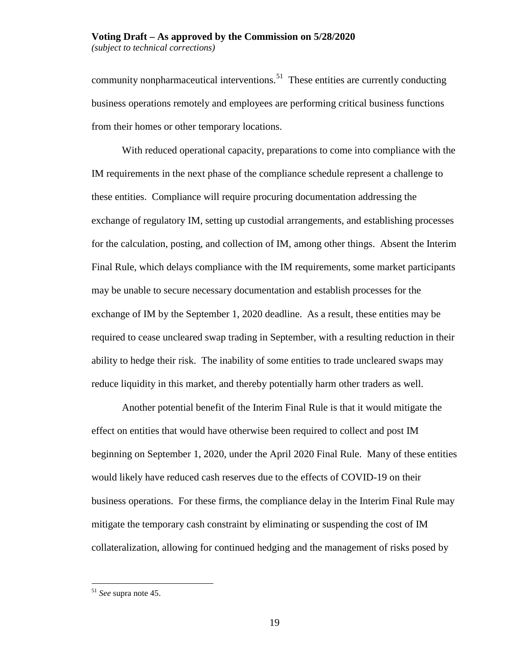community nonpharmaceutical interventions.<sup>[51](#page-18-0)</sup> These entities are currently conducting business operations remotely and employees are performing critical business functions from their homes or other temporary locations.

With reduced operational capacity, preparations to come into compliance with the IM requirements in the next phase of the compliance schedule represent a challenge to these entities. Compliance will require procuring documentation addressing the exchange of regulatory IM, setting up custodial arrangements, and establishing processes for the calculation, posting, and collection of IM, among other things. Absent the Interim Final Rule, which delays compliance with the IM requirements, some market participants may be unable to secure necessary documentation and establish processes for the exchange of IM by the September 1, 2020 deadline. As a result, these entities may be required to cease uncleared swap trading in September, with a resulting reduction in their ability to hedge their risk. The inability of some entities to trade uncleared swaps may reduce liquidity in this market, and thereby potentially harm other traders as well.

Another potential benefit of the Interim Final Rule is that it would mitigate the effect on entities that would have otherwise been required to collect and post IM beginning on September 1, 2020, under the April 2020 Final Rule. Many of these entities would likely have reduced cash reserves due to the effects of COVID-19 on their business operations. For these firms, the compliance delay in the Interim Final Rule may mitigate the temporary cash constraint by eliminating or suspending the cost of IM collateralization, allowing for continued hedging and the management of risks posed by

<span id="page-18-0"></span> <sup>51</sup> *See* supra note [45.](#page-13-5)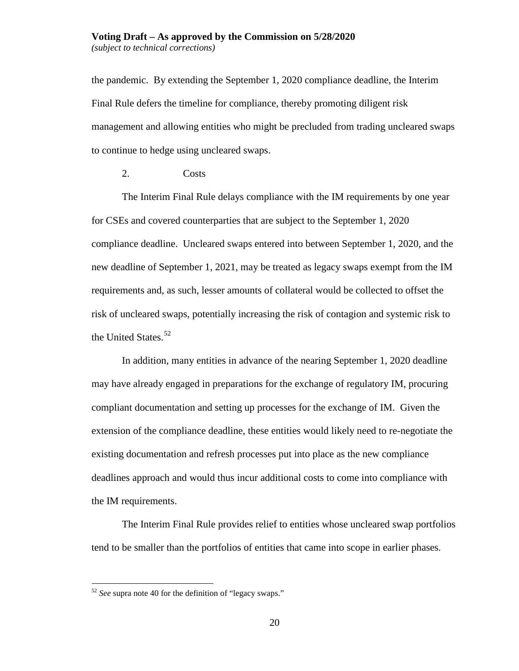the pandemic. By extending the September 1, 2020 compliance deadline, the Interim Final Rule defers the timeline for compliance, thereby promoting diligent risk management and allowing entities who might be precluded from trading uncleared swaps to continue to hedge using uncleared swaps.

2. Costs

The Interim Final Rule delays compliance with the IM requirements by one year for CSEs and covered counterparties that are subject to the September 1, 2020 compliance deadline. Uncleared swaps entered into between September 1, 2020, and the new deadline of September 1, 2021, may be treated as legacy swaps exempt from the IM requirements and, as such, lesser amounts of collateral would be collected to offset the risk of uncleared swaps, potentially increasing the risk of contagion and systemic risk to the United States. [52](#page-19-0) 

In addition, many entities in advance of the nearing September 1, 2020 deadline may have already engaged in preparations for the exchange of regulatory IM, procuring compliant documentation and setting up processes for the exchange of IM. Given the extension of the compliance deadline, these entities would likely need to re-negotiate the existing documentation and refresh processes put into place as the new compliance deadlines approach and would thus incur additional costs to come into compliance with the IM requirements.

The Interim Final Rule provides relief to entities whose uncleared swap portfolios tend to be smaller than the portfolios of entities that came into scope in earlier phases.

<span id="page-19-0"></span> <sup>52</sup> *See* supra note [40](#page-12-1) for the definition of "legacy swaps."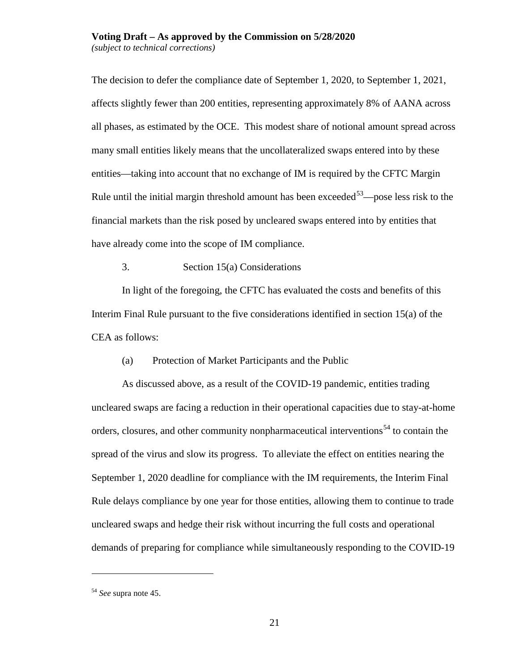The decision to defer the compliance date of September 1, 2020, to September 1, 2021, affects slightly fewer than 200 entities, representing approximately 8% of AANA across all phases, as estimated by the OCE. This modest share of notional amount spread across many small entities likely means that the uncollateralized swaps entered into by these entities—taking into account that no exchange of IM is required by the CFTC Margin Rule until the initial margin threshold amount has been exceeded<sup>53</sup>—pose less risk to the financial markets than the risk posed by uncleared swaps entered into by entities that have already come into the scope of IM compliance.

3. Section 15(a) Considerations

In light of the foregoing, the CFTC has evaluated the costs and benefits of this Interim Final Rule pursuant to the five considerations identified in section 15(a) of the CEA as follows:

(a) Protection of Market Participants and the Public

As discussed above, as a result of the COVID-19 pandemic, entities trading uncleared swaps are facing a reduction in their operational capacities due to stay-at-home orders, closures, and other community nonpharmaceutical interventions<sup>[54](#page-20-1)</sup> to contain the spread of the virus and slow its progress. To alleviate the effect on entities nearing the September 1, 2020 deadline for compliance with the IM requirements, the Interim Final Rule delays compliance by one year for those entities, allowing them to continue to trade uncleared swaps and hedge their risk without incurring the full costs and operational demands of preparing for compliance while simultaneously responding to the COVID-19

 $\overline{a}$ 

<span id="page-20-1"></span><span id="page-20-0"></span><sup>54</sup> *See* supra note [45.](#page-13-5)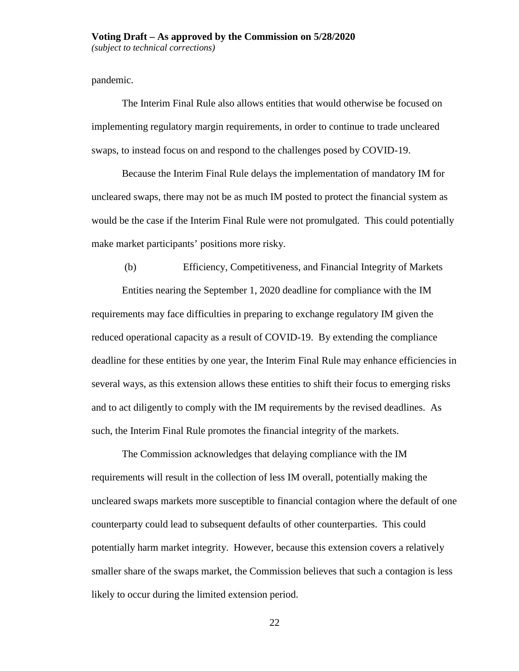pandemic.

The Interim Final Rule also allows entities that would otherwise be focused on implementing regulatory margin requirements, in order to continue to trade uncleared swaps, to instead focus on and respond to the challenges posed by COVID-19.

Because the Interim Final Rule delays the implementation of mandatory IM for uncleared swaps, there may not be as much IM posted to protect the financial system as would be the case if the Interim Final Rule were not promulgated. This could potentially make market participants' positions more risky.

(b) Efficiency, Competitiveness, and Financial Integrity of Markets Entities nearing the September 1, 2020 deadline for compliance with the IM requirements may face difficulties in preparing to exchange regulatory IM given the reduced operational capacity as a result of COVID-19. By extending the compliance deadline for these entities by one year, the Interim Final Rule may enhance efficiencies in several ways, as this extension allows these entities to shift their focus to emerging risks and to act diligently to comply with the IM requirements by the revised deadlines. As such, the Interim Final Rule promotes the financial integrity of the markets.

The Commission acknowledges that delaying compliance with the IM requirements will result in the collection of less IM overall, potentially making the uncleared swaps markets more susceptible to financial contagion where the default of one counterparty could lead to subsequent defaults of other counterparties. This could potentially harm market integrity. However, because this extension covers a relatively smaller share of the swaps market, the Commission believes that such a contagion is less likely to occur during the limited extension period.

22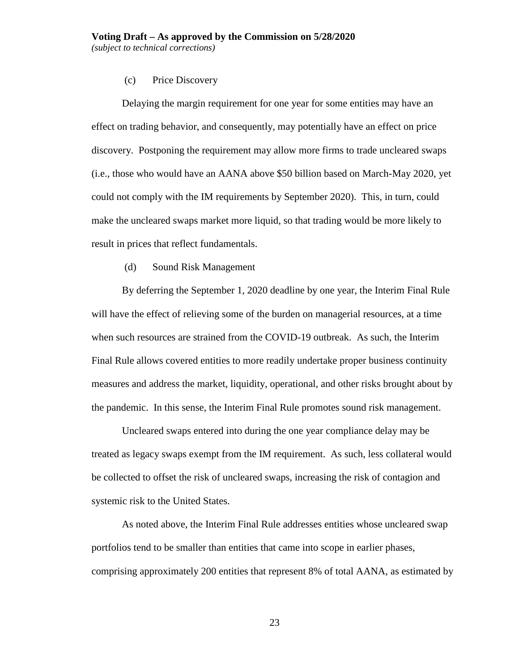#### (c) Price Discovery

Delaying the margin requirement for one year for some entities may have an effect on trading behavior, and consequently, may potentially have an effect on price discovery. Postponing the requirement may allow more firms to trade uncleared swaps (i.e., those who would have an AANA above \$50 billion based on March-May 2020, yet could not comply with the IM requirements by September 2020). This, in turn, could make the uncleared swaps market more liquid, so that trading would be more likely to result in prices that reflect fundamentals.

(d) Sound Risk Management

By deferring the September 1, 2020 deadline by one year, the Interim Final Rule will have the effect of relieving some of the burden on managerial resources, at a time when such resources are strained from the COVID-19 outbreak. As such, the Interim Final Rule allows covered entities to more readily undertake proper business continuity measures and address the market, liquidity, operational, and other risks brought about by the pandemic. In this sense, the Interim Final Rule promotes sound risk management.

Uncleared swaps entered into during the one year compliance delay may be treated as legacy swaps exempt from the IM requirement. As such, less collateral would be collected to offset the risk of uncleared swaps, increasing the risk of contagion and systemic risk to the United States.

As noted above, the Interim Final Rule addresses entities whose uncleared swap portfolios tend to be smaller than entities that came into scope in earlier phases, comprising approximately 200 entities that represent 8% of total AANA, as estimated by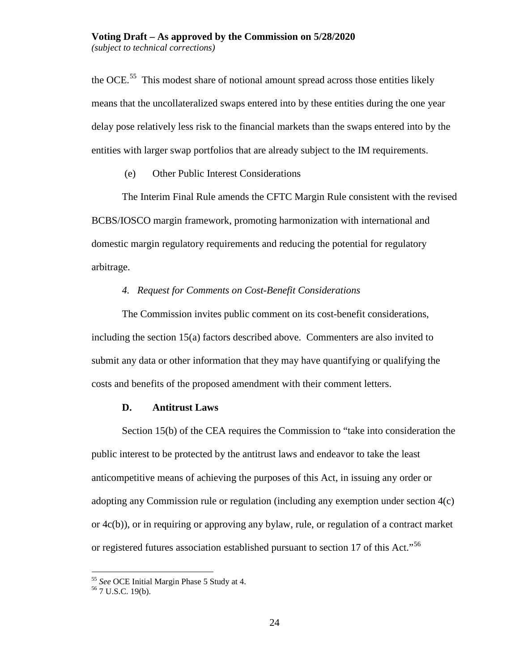the OCE.<sup>[55](#page-23-0)</sup> This modest share of notional amount spread across those entities likely means that the uncollateralized swaps entered into by these entities during the one year delay pose relatively less risk to the financial markets than the swaps entered into by the entities with larger swap portfolios that are already subject to the IM requirements.

(e) Other Public Interest Considerations

The Interim Final Rule amends the CFTC Margin Rule consistent with the revised BCBS/IOSCO margin framework, promoting harmonization with international and domestic margin regulatory requirements and reducing the potential for regulatory arbitrage.

## *4. Request for Comments on Cost-Benefit Considerations*

The Commission invites public comment on its cost-benefit considerations, including the section 15(a) factors described above. Commenters are also invited to submit any data or other information that they may have quantifying or qualifying the costs and benefits of the proposed amendment with their comment letters.

### **D. Antitrust Laws**

Section 15(b) of the CEA requires the Commission to "take into consideration the public interest to be protected by the antitrust laws and endeavor to take the least anticompetitive means of achieving the purposes of this Act, in issuing any order or adopting any Commission rule or regulation (including any exemption under section 4(c) or 4c(b)), or in requiring or approving any bylaw, rule, or regulation of a contract market or registered futures association established pursuant to section 17 of this Act."<sup>[56](#page-23-1)</sup>

<span id="page-23-1"></span><span id="page-23-0"></span><sup>55</sup> *See* OCE Initial Margin Phase 5 Study at 4. <sup>56</sup> 7 U.S.C. 19(b).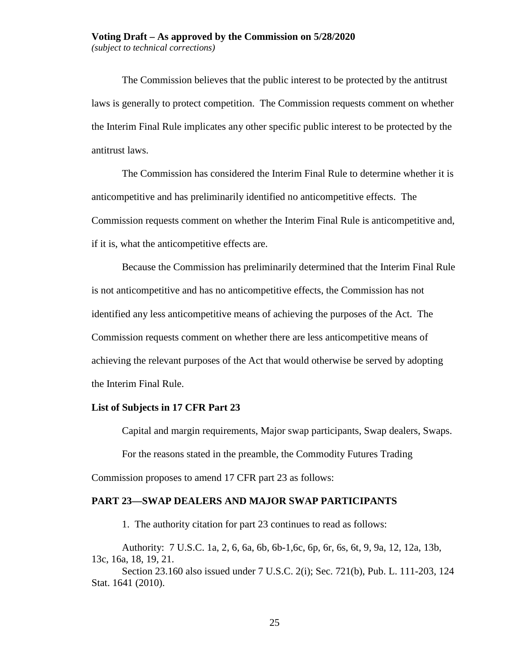The Commission believes that the public interest to be protected by the antitrust laws is generally to protect competition. The Commission requests comment on whether the Interim Final Rule implicates any other specific public interest to be protected by the antitrust laws.

The Commission has considered the Interim Final Rule to determine whether it is anticompetitive and has preliminarily identified no anticompetitive effects. The Commission requests comment on whether the Interim Final Rule is anticompetitive and, if it is, what the anticompetitive effects are.

Because the Commission has preliminarily determined that the Interim Final Rule is not anticompetitive and has no anticompetitive effects, the Commission has not identified any less anticompetitive means of achieving the purposes of the Act. The Commission requests comment on whether there are less anticompetitive means of achieving the relevant purposes of the Act that would otherwise be served by adopting the Interim Final Rule.

#### **List of Subjects in 17 CFR Part 23**

Capital and margin requirements, Major swap participants, Swap dealers, Swaps.

For the reasons stated in the preamble, the Commodity Futures Trading

Commission proposes to amend 17 CFR part 23 as follows:

#### **PART 23—SWAP DEALERS AND MAJOR SWAP PARTICIPANTS**

1. The authority citation for part 23 continues to read as follows:

Authority: 7 U.S.C. 1a, 2, 6, 6a, 6b, 6b-1,6c, 6p, 6r, 6s, 6t, 9, 9a, 12, 12a, 13b, 13c, 16a, 18, 19, 21.

Section 23.160 also issued under 7 U.S.C. 2(i); Sec. 721(b), Pub. L. 111-203, 124 Stat. 1641 (2010).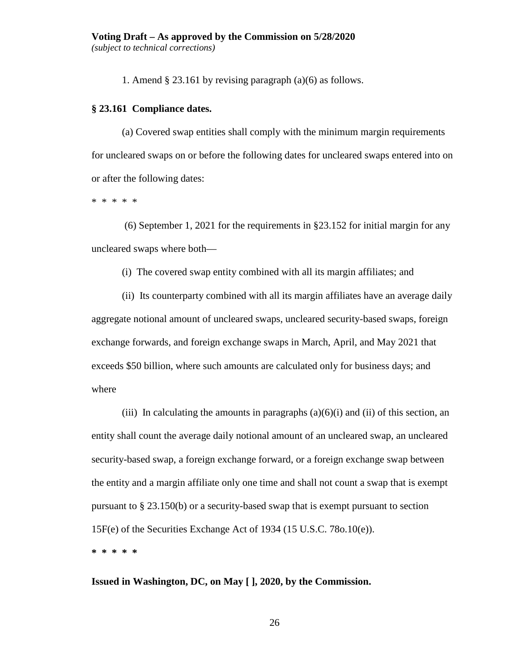1. Amend § 23.161 by revising paragraph (a)(6) as follows.

# **§ 23.161 Compliance dates.**

(a) Covered swap entities shall comply with the minimum margin requirements for uncleared swaps on or before the following dates for uncleared swaps entered into on or after the following dates:

\* \* \* \* \*

(6) September 1, 2021 for the requirements in §23.152 for initial margin for any uncleared swaps where both—

(i) The covered swap entity combined with all its margin affiliates; and

(ii) Its counterparty combined with all its margin affiliates have an average daily aggregate notional amount of uncleared swaps, uncleared security-based swaps, foreign exchange forwards, and foreign exchange swaps in March, April, and May 2021 that exceeds \$50 billion, where such amounts are calculated only for business days; and where

(iii) In calculating the amounts in paragraphs  $(a)(6)(i)$  and (ii) of this section, an entity shall count the average daily notional amount of an uncleared swap, an uncleared security-based swap, a foreign exchange forward, or a foreign exchange swap between the entity and a margin affiliate only one time and shall not count a swap that is exempt pursuant to § 23.150(b) or a security-based swap that is exempt pursuant to section 15F(e) of the Securities Exchange Act of 1934 (15 U.S.C. 78o.10(e)).

**\* \* \* \* \***

**Issued in Washington, DC, on May [ ], 2020, by the Commission.**